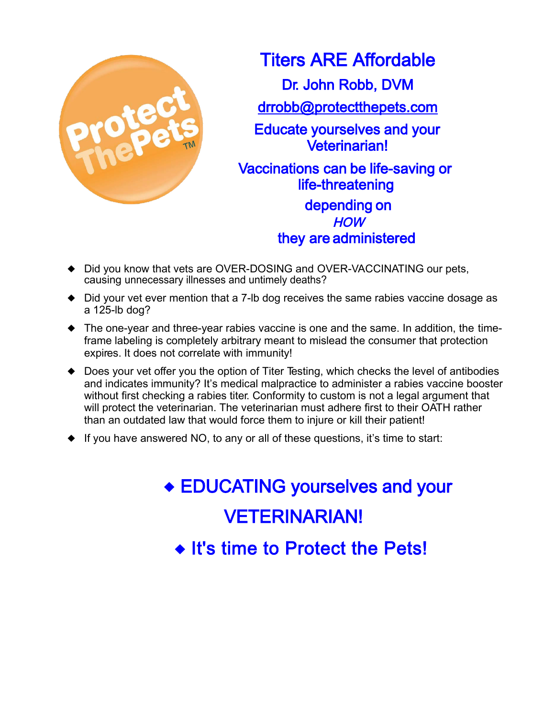

**Titers ARE Affordable** Dr. John Robb, DVM drrobb@protectthepets.com **Educate yourselves and your Veterinarian!** Vaccinations can be life-saving or life-threatening depending on **HOW** they are administered

- Did you know that vets are OVER-DOSING and OVER-VACCINATING our pets, causing unnecessary illnesses and untimely deaths?
- Did your vet ever mention that a 7-lb dog receives the same rabies vaccine dosage as a 125-lb dog?
- The one-year and three-year rabies vaccine is one and the same. In addition, the timeframe labeling is completely arbitrary meant to mislead the consumer that protection expires. It does not correlate with immunity!
- Does your vet offer you the option of Titer Testing, which checks the level of antibodies and indicates immunity? It's medical malpractice to administer a rabies vaccine booster without first checking a rabies titer. Conformity to custom is not a legal argument that will protect the veterinarian. The veterinarian must adhere first to their OATH rather than an outdated law that would force them to injure or kill their patient!
- $\blacklozenge$  If you have answered NO, to any or all of these questions, it's time to start:

◆ EDUCATING yourselves and your **VETERINARIAN!** ◆ It's time to Protect the Pets!